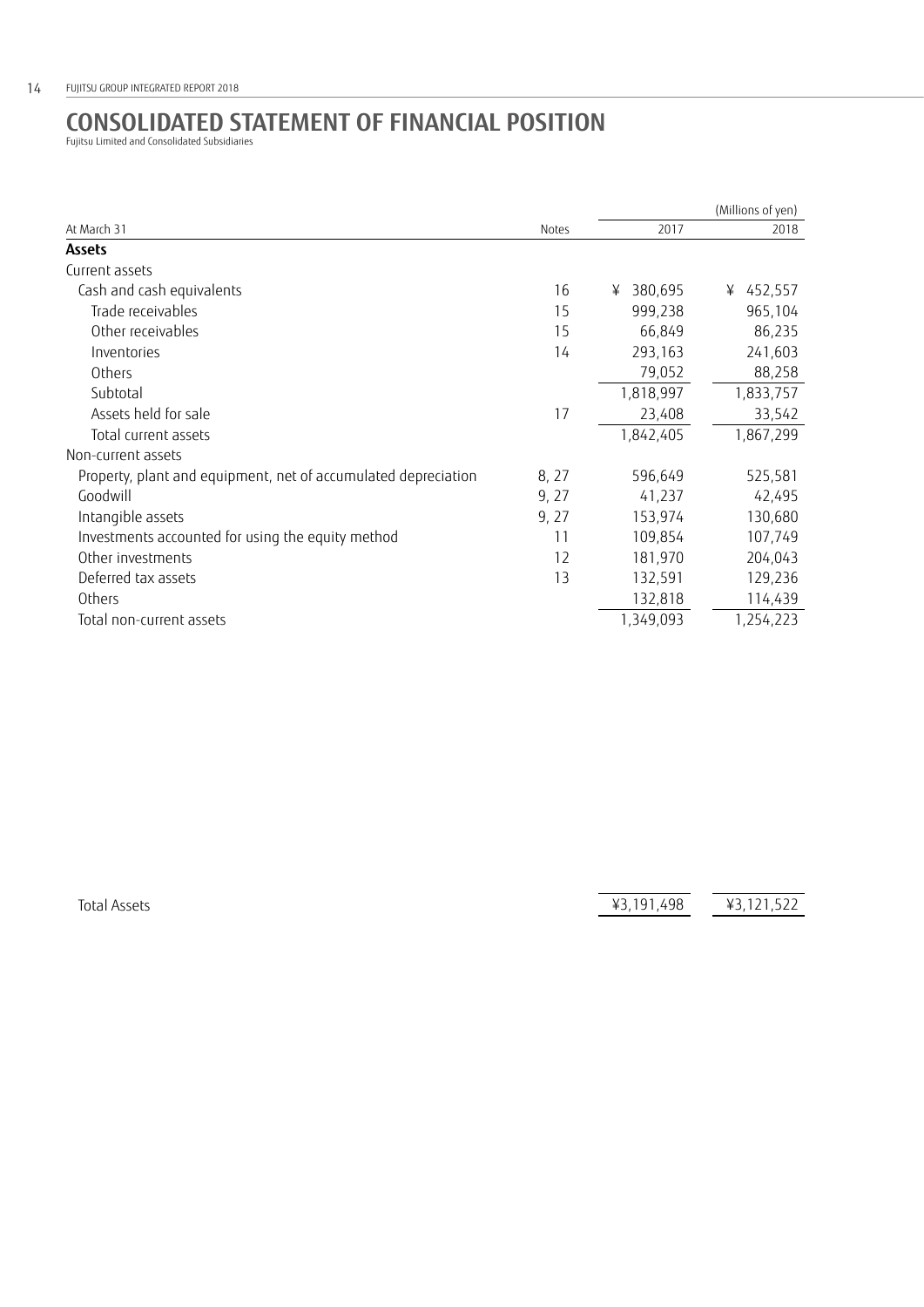## **CONSOLIDATED STATEMENT OF FINANCIAL POSITION** Fujitsu Limited and Consolidated Subsidiaries

| At March 31                                                    | Notes | (Millions of yen) |           |
|----------------------------------------------------------------|-------|-------------------|-----------|
|                                                                |       | 2017              | 2018      |
| <b>Assets</b>                                                  |       |                   |           |
| Current assets                                                 |       |                   |           |
| Cash and cash equivalents                                      | 16    | 380,695<br>¥      | ¥ 452,557 |
| Trade receivables                                              | 15    | 999,238           | 965,104   |
| Other receivables                                              | 15    | 66,849            | 86,235    |
| Inventories                                                    | 14    | 293,163           | 241,603   |
| Others                                                         |       | 79,052            | 88,258    |
| Subtotal                                                       |       | 1,818,997         | 1,833,757 |
| Assets held for sale                                           | 17    | 23,408            | 33,542    |
| Total current assets                                           |       | 1,842,405         | 1,867,299 |
| Non-current assets                                             |       |                   |           |
| Property, plant and equipment, net of accumulated depreciation | 8, 27 | 596,649           | 525,581   |
| Goodwill                                                       | 9, 27 | 41,237            | 42,495    |
| Intangible assets                                              | 9, 27 | 153,974           | 130,680   |
| Investments accounted for using the equity method              | 11    | 109,854           | 107,749   |
| Other investments                                              | 12    | 181,970           | 204,043   |
| Deferred tax assets                                            | 13    | 132,591           | 129,236   |
| Others                                                         |       | 132,818           | 114,439   |
| Total non-current assets                                       |       | 1,349,093         | 1,254,223 |

Total Assets **43,191,498**  $\overline{43,191,498}$   $\overline{43,121,522}$